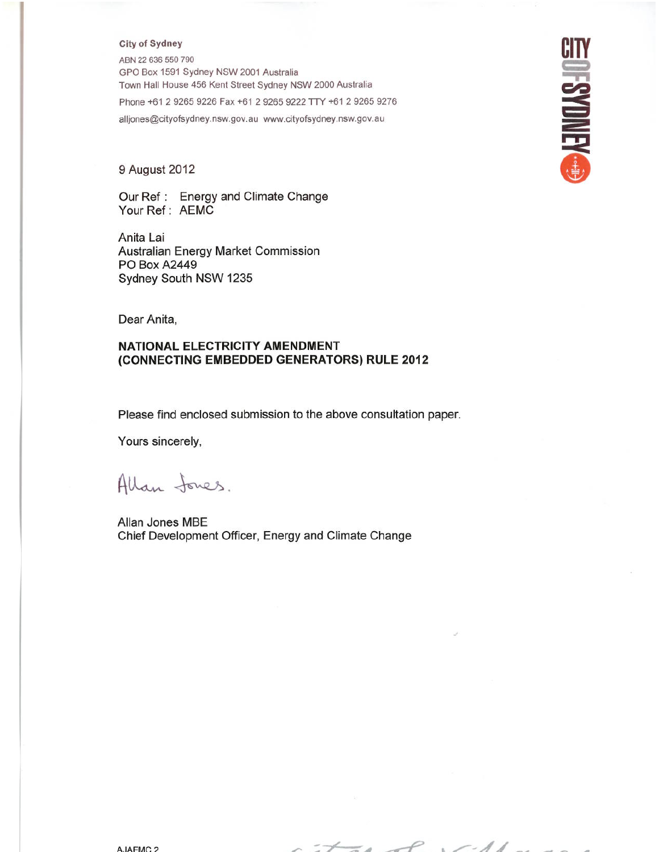#### **City of Sydney**

ABN 22 636 550 790 GPO Box 1591 Sydney NSW 2001 Australia Town Hall House 456 Kent Street Sydney NSW 2000 Australia Phone +61 2 9265 9226 Fax +61 2 9265 9222 TTY +61 2 9265 9276 alljones@cityofsydney.nsw.gov.au www.cityofsydney.nsw.gov.au

#### 9 August 2012

Our Ref: Energy and Climate Change Your Ref: AEMC

Anita Lai Australian Energy Market Commission **PO Box A2449** Sydney South NSW 1235

Dear Anita,

#### NATIONAL ELECTRICITY AMENDMENT (CONNECTING EMBEDDED GENERATORS) RULE 2012

Please find enclosed submission to the above consultation paper.

Yours sincerely,

Allan Jones.

Allan Jones MBE Chief Development Officer, Energy and Climate Change

A.IAFMC.2

 $\leq_{\theta} \leq$  $\sim$  //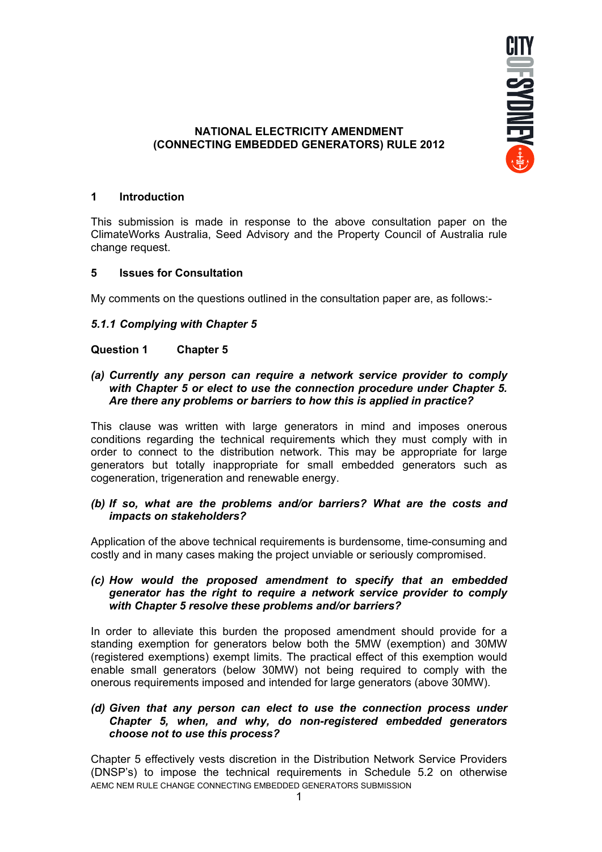

## **NATIONAL ELECTRICITY AMENDMENT (CONNECTING EMBEDDED GENERATORS) RULE 2012**

## **1 Introduction**

This submission is made in response to the above consultation paper on the ClimateWorks Australia, Seed Advisory and the Property Council of Australia rule change request.

## **5 Issues for Consultation**

My comments on the questions outlined in the consultation paper are, as follows:-

## *5.1.1 Complying with Chapter 5*

## **Question 1 Chapter 5**

#### *(a) Currently any person can require a network service provider to comply with Chapter 5 or elect to use the connection procedure under Chapter 5. Are there any problems or barriers to how this is applied in practice?*

This clause was written with large generators in mind and imposes onerous conditions regarding the technical requirements which they must comply with in order to connect to the distribution network. This may be appropriate for large generators but totally inappropriate for small embedded generators such as cogeneration, trigeneration and renewable energy.

## *(b) If so, what are the problems and/or barriers? What are the costs and impacts on stakeholders?*

Application of the above technical requirements is burdensome, time-consuming and costly and in many cases making the project unviable or seriously compromised.

#### *(c) How would the proposed amendment to specify that an embedded generator has the right to require a network service provider to comply with Chapter 5 resolve these problems and/or barriers?*

In order to alleviate this burden the proposed amendment should provide for a standing exemption for generators below both the 5MW (exemption) and 30MW (registered exemptions) exempt limits. The practical effect of this exemption would enable small generators (below 30MW) not being required to comply with the onerous requirements imposed and intended for large generators (above 30MW).

## *(d) Given that any person can elect to use the connection process under Chapter 5, when, and why, do non-registered embedded generators choose not to use this process?*

AEMC NEM RULE CHANGE CONNECTING EMBEDDED GENERATORS SUBMISSION Chapter 5 effectively vests discretion in the Distribution Network Service Providers (DNSP's) to impose the technical requirements in Schedule 5.2 on otherwise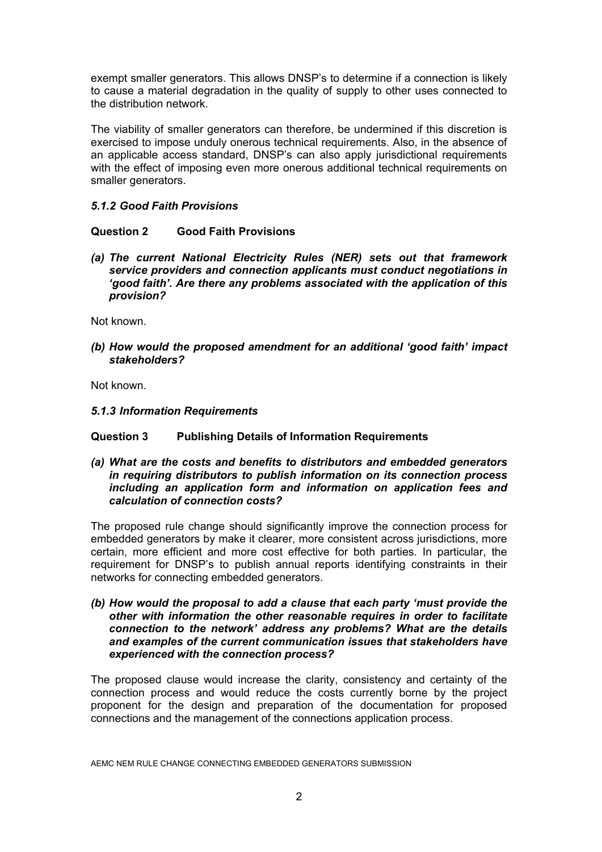exempt smaller generators. This allows DNSP's to determine if a connection is likely to cause a material degradation in the quality of supply to other uses connected to the distribution network.

The viability of smaller generators can therefore, be undermined if this discretion is exercised to impose unduly onerous technical requirements. Also, in the absence of an applicable access standard, DNSP's can also apply jurisdictional requirements with the effect of imposing even more onerous additional technical requirements on smaller generators.

## *5.1.2 Good Faith Provisions*

# **Question 2 Good Faith Provisions**

*(a) The current National Electricity Rules (NER) sets out that framework service providers and connection applicants must conduct negotiations in 'good faith'. Are there any problems associated with the application of this provision?* 

Not known.

*(b) How would the proposed amendment for an additional 'good faith' impact stakeholders?* 

Not known.

*5.1.3 Information Requirements* 

## **Question 3 Publishing Details of Information Requirements**

*(a) What are the costs and benefits to distributors and embedded generators in requiring distributors to publish information on its connection process including an application form and information on application fees and calculation of connection costs?* 

The proposed rule change should significantly improve the connection process for embedded generators by make it clearer, more consistent across jurisdictions, more certain, more efficient and more cost effective for both parties. In particular, the requirement for DNSP's to publish annual reports identifying constraints in their networks for connecting embedded generators.

*(b) How would the proposal to add a clause that each party 'must provide the other with information the other reasonable requires in order to facilitate connection to the network' address any problems? What are the details and examples of the current communication issues that stakeholders have experienced with the connection process?* 

The proposed clause would increase the clarity, consistency and certainty of the connection process and would reduce the costs currently borne by the project proponent for the design and preparation of the documentation for proposed connections and the management of the connections application process.

AEMC NEM RULE CHANGE CONNECTING EMBEDDED GENERATORS SUBMISSION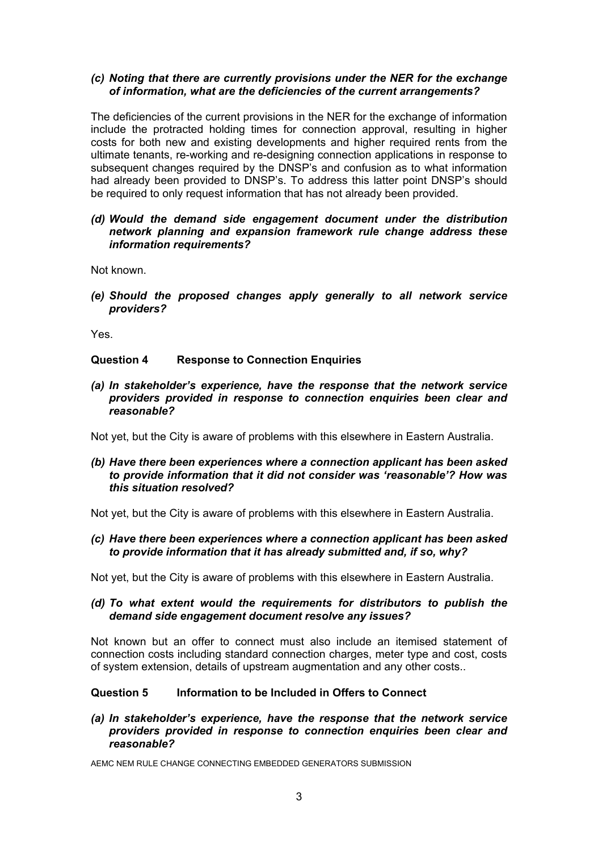## *(c) Noting that there are currently provisions under the NER for the exchange of information, what are the deficiencies of the current arrangements?*

The deficiencies of the current provisions in the NER for the exchange of information include the protracted holding times for connection approval, resulting in higher costs for both new and existing developments and higher required rents from the ultimate tenants, re-working and re-designing connection applications in response to subsequent changes required by the DNSP's and confusion as to what information had already been provided to DNSP's. To address this latter point DNSP's should be required to only request information that has not already been provided.

## *(d) Would the demand side engagement document under the distribution network planning and expansion framework rule change address these information requirements?*

Not known.

*(e) Should the proposed changes apply generally to all network service providers?* 

Yes.

## **Question 4 Response to Connection Enquiries**

*(a) In stakeholder's experience, have the response that the network service providers provided in response to connection enquiries been clear and reasonable?* 

Not yet, but the City is aware of problems with this elsewhere in Eastern Australia.

#### *(b) Have there been experiences where a connection applicant has been asked to provide information that it did not consider was 'reasonable'? How was this situation resolved?*

Not yet, but the City is aware of problems with this elsewhere in Eastern Australia.

*(c) Have there been experiences where a connection applicant has been asked to provide information that it has already submitted and, if so, why?* 

Not yet, but the City is aware of problems with this elsewhere in Eastern Australia.

## *(d) To what extent would the requirements for distributors to publish the demand side engagement document resolve any issues?*

Not known but an offer to connect must also include an itemised statement of connection costs including standard connection charges, meter type and cost, costs of system extension, details of upstream augmentation and any other costs..

## **Question 5 Information to be Included in Offers to Connect**

*(a) In stakeholder's experience, have the response that the network service providers provided in response to connection enquiries been clear and reasonable?*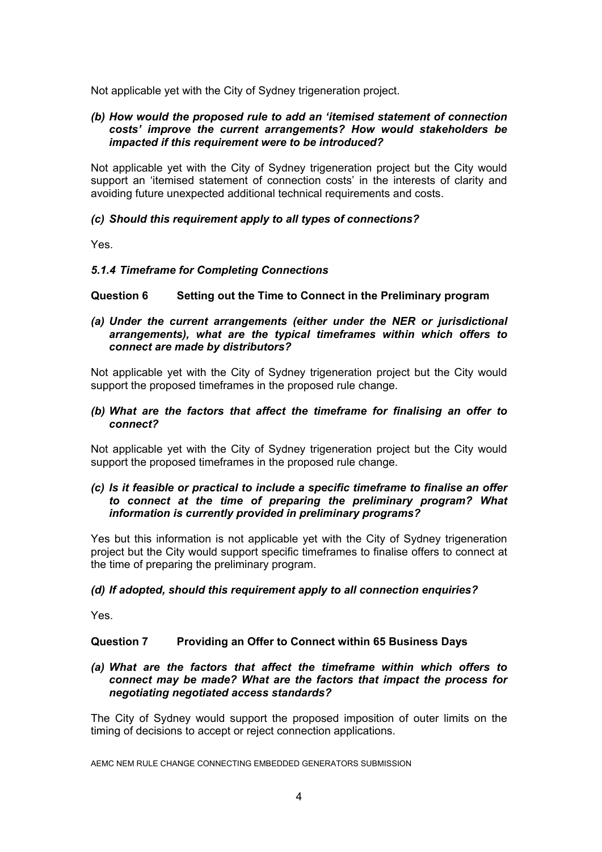Not applicable yet with the City of Sydney trigeneration project.

#### *(b) How would the proposed rule to add an 'itemised statement of connection costs' improve the current arrangements? How would stakeholders be impacted if this requirement were to be introduced?*

Not applicable yet with the City of Sydney trigeneration project but the City would support an 'itemised statement of connection costs' in the interests of clarity and avoiding future unexpected additional technical requirements and costs.

## *(c) Should this requirement apply to all types of connections?*

Yes.

## *5.1.4 Timeframe for Completing Connections*

## **Question 6 Setting out the Time to Connect in the Preliminary program**

## *(a) Under the current arrangements (either under the NER or jurisdictional arrangements), what are the typical timeframes within which offers to connect are made by distributors?*

Not applicable yet with the City of Sydney trigeneration project but the City would support the proposed timeframes in the proposed rule change.

## *(b) What are the factors that affect the timeframe for finalising an offer to connect?*

Not applicable yet with the City of Sydney trigeneration project but the City would support the proposed timeframes in the proposed rule change.

## *(c) Is it feasible or practical to include a specific timeframe to finalise an offer to connect at the time of preparing the preliminary program? What information is currently provided in preliminary programs?*

Yes but this information is not applicable yet with the City of Sydney trigeneration project but the City would support specific timeframes to finalise offers to connect at the time of preparing the preliminary program.

#### *(d) If adopted, should this requirement apply to all connection enquiries?*

Yes.

## **Question 7 Providing an Offer to Connect within 65 Business Days**

#### *(a) What are the factors that affect the timeframe within which offers to connect may be made? What are the factors that impact the process for negotiating negotiated access standards?*

The City of Sydney would support the proposed imposition of outer limits on the timing of decisions to accept or reject connection applications.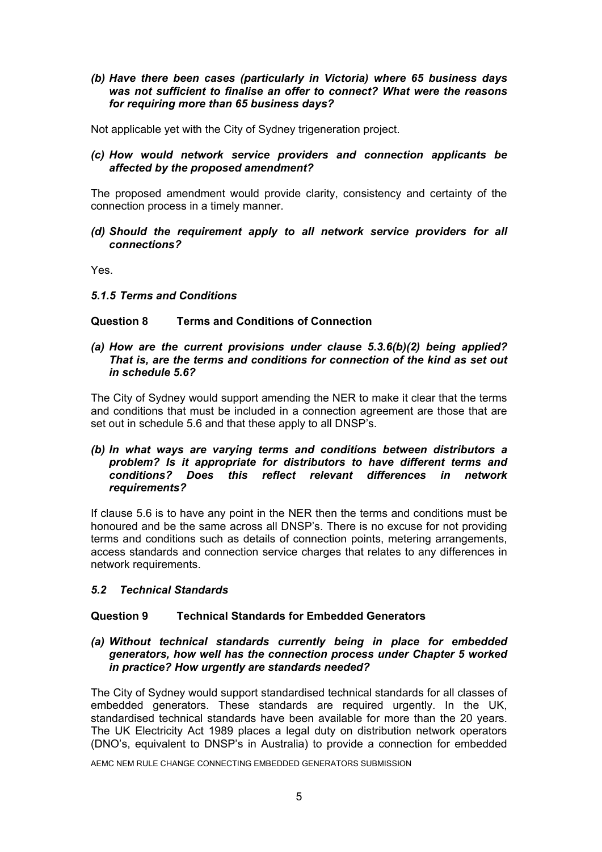## *(b) Have there been cases (particularly in Victoria) where 65 business days was not sufficient to finalise an offer to connect? What were the reasons for requiring more than 65 business days?*

Not applicable yet with the City of Sydney trigeneration project.

## *(c) How would network service providers and connection applicants be affected by the proposed amendment?*

The proposed amendment would provide clarity, consistency and certainty of the connection process in a timely manner.

*(d) Should the requirement apply to all network service providers for all connections?* 

Yes.

*5.1.5 Terms and Conditions* 

## **Question 8 Terms and Conditions of Connection**

#### *(a) How are the current provisions under clause 5.3.6(b)(2) being applied? That is, are the terms and conditions for connection of the kind as set out in schedule 5.6?*

The City of Sydney would support amending the NER to make it clear that the terms and conditions that must be included in a connection agreement are those that are set out in schedule 5.6 and that these apply to all DNSP's.

## *(b) In what ways are varying terms and conditions between distributors a problem? Is it appropriate for distributors to have different terms and conditions? Does this reflect relevant differences in network requirements?*

If clause 5.6 is to have any point in the NER then the terms and conditions must be honoured and be the same across all DNSP's. There is no excuse for not providing terms and conditions such as details of connection points, metering arrangements, access standards and connection service charges that relates to any differences in network requirements.

## *5.2 Technical Standards*

## **Question 9 Technical Standards for Embedded Generators**

## *(a) Without technical standards currently being in place for embedded generators, how well has the connection process under Chapter 5 worked in practice? How urgently are standards needed?*

The City of Sydney would support standardised technical standards for all classes of embedded generators. These standards are required urgently. In the UK, standardised technical standards have been available for more than the 20 years. The UK Electricity Act 1989 places a legal duty on distribution network operators (DNO's, equivalent to DNSP's in Australia) to provide a connection for embedded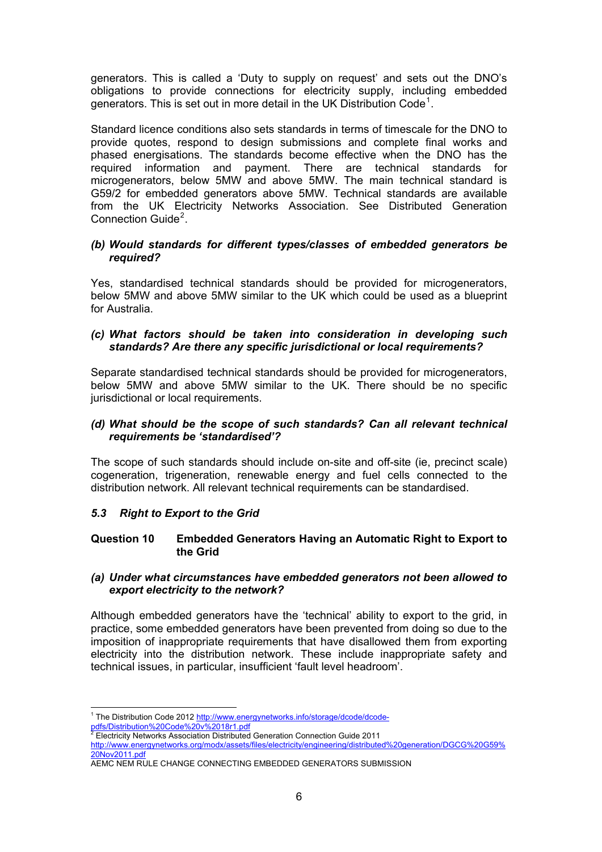generators. This is called a 'Duty to supply on request' and sets out the DNO's obligations to provide connections for electricity supply, including embedded generators. This is set out in more detail in the UK Distribution Code<sup>[1](#page-6-0)</sup>.

Standard licence conditions also sets standards in terms of timescale for the DNO to provide quotes, respond to design submissions and complete final works and phased energisations. The standards become effective when the DNO has the required information and payment. There are technical standards for microgenerators, below 5MW and above 5MW. The main technical standard is G59/2 for embedded generators above 5MW. Technical standards are available from the UK Electricity Networks Association. See Distributed Generation Connection Guide<sup>[2](#page-6-1)</sup>.

#### *(b) Would standards for different types/classes of embedded generators be required?*

Yes, standardised technical standards should be provided for microgenerators, below 5MW and above 5MW similar to the UK which could be used as a blueprint for Australia.

## *(c) What factors should be taken into consideration in developing such standards? Are there any specific jurisdictional or local requirements?*

Separate standardised technical standards should be provided for microgenerators, below 5MW and above 5MW similar to the UK. There should be no specific jurisdictional or local requirements.

## *(d) What should be the scope of such standards? Can all relevant technical requirements be 'standardised'?*

The scope of such standards should include on-site and off-site (ie, precinct scale) cogeneration, trigeneration, renewable energy and fuel cells connected to the distribution network. All relevant technical requirements can be standardised.

## *5.3 Right to Export to the Grid*

## **Question 10 Embedded Generators Having an Automatic Right to Export to the Grid**

## *(a) Under what circumstances have embedded generators not been allowed to export electricity to the network?*

Although embedded generators have the 'technical' ability to export to the grid, in practice, some embedded generators have been prevented from doing so due to the imposition of inappropriate requirements that have disallowed them from exporting electricity into the distribution network. These include inappropriate safety and technical issues, in particular, insufficient 'fault level headroom'.

<span id="page-6-0"></span><sup>&</sup>lt;sup>1</sup> The Distribution Code 2012 [http://www.energynetworks.info/storage/dcode/dcode-](http://www.energynetworks.info/storage/dcode/dcode-pdfs/Distribution%20Code%20v%2018r1.pdf)

<sup>&</sup>lt;u>pdfs/Distribution%20Code%20v%2018r1.pdf</u><br><sup>2</sup> Electricity Networks Association Distributed Generation Connection Guide 2011

<span id="page-6-1"></span>[http://www.energynetworks.org/modx/assets/files/electricity/engineering/distributed%20generation/DGCG%20G59%](http://www.energynetworks.org/modx/assets/files/electricity/engineering/distributed%20generation/DGCG%20G59%20Nov2011.pdf) [20Nov2011.pdf](http://www.energynetworks.org/modx/assets/files/electricity/engineering/distributed%20generation/DGCG%20G59%20Nov2011.pdf)

AEMC NEM RULE CHANGE CONNECTING EMBEDDED GENERATORS SUBMISSION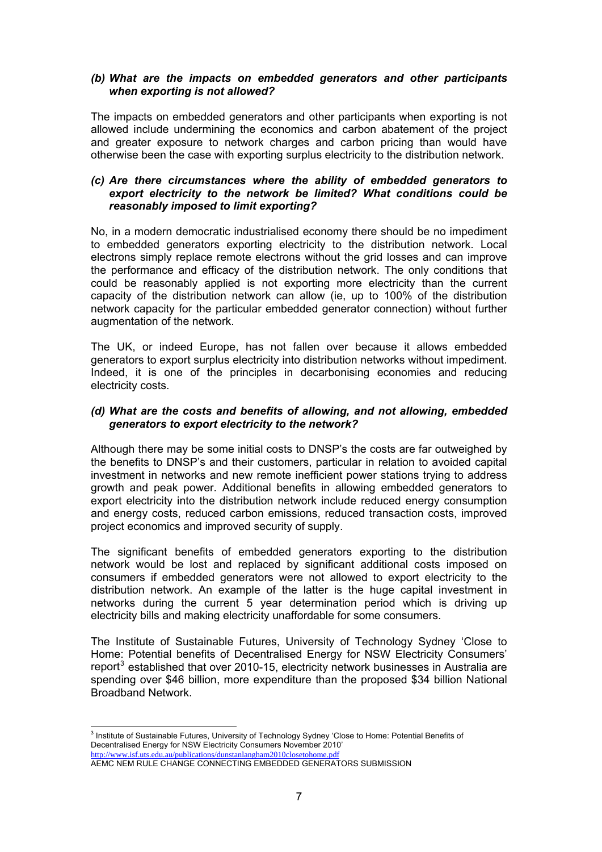## *(b) What are the impacts on embedded generators and other participants when exporting is not allowed?*

The impacts on embedded generators and other participants when exporting is not allowed include undermining the economics and carbon abatement of the project and greater exposure to network charges and carbon pricing than would have otherwise been the case with exporting surplus electricity to the distribution network.

## *(c) Are there circumstances where the ability of embedded generators to export electricity to the network be limited? What conditions could be reasonably imposed to limit exporting?*

No, in a modern democratic industrialised economy there should be no impediment to embedded generators exporting electricity to the distribution network. Local electrons simply replace remote electrons without the grid losses and can improve the performance and efficacy of the distribution network. The only conditions that could be reasonably applied is not exporting more electricity than the current capacity of the distribution network can allow (ie, up to 100% of the distribution network capacity for the particular embedded generator connection) without further augmentation of the network.

The UK, or indeed Europe, has not fallen over because it allows embedded generators to export surplus electricity into distribution networks without impediment. Indeed, it is one of the principles in decarbonising economies and reducing electricity costs.

## *(d) What are the costs and benefits of allowing, and not allowing, embedded generators to export electricity to the network?*

Although there may be some initial costs to DNSP's the costs are far outweighed by the benefits to DNSP's and their customers, particular in relation to avoided capital investment in networks and new remote inefficient power stations trying to address growth and peak power. Additional benefits in allowing embedded generators to export electricity into the distribution network include reduced energy consumption and energy costs, reduced carbon emissions, reduced transaction costs, improved project economics and improved security of supply.

The significant benefits of embedded generators exporting to the distribution network would be lost and replaced by significant additional costs imposed on consumers if embedded generators were not allowed to export electricity to the distribution network. An example of the latter is the huge capital investment in networks during the current 5 year determination period which is driving up electricity bills and making electricity unaffordable for some consumers.

The Institute of Sustainable Futures, University of Technology Sydney 'Close to Home: Potential benefits of Decentralised Energy for NSW Electricity Consumers' report<sup>[3](#page-7-0)</sup> established that over 2010-15, electricity network businesses in Australia are spending over \$46 billion, more expenditure than the proposed \$34 billion National Broadband Network.

<span id="page-7-0"></span> 3 Institute of Sustainable Futures, University of Technology Sydney 'Close to Home: Potential Benefits of Decentralised Energy for NSW Electricity Consumers November 2010' <http://www.isf.uts.edu.au/publications/dunstanlangham2010closetohome.pdf>

AEMC NEM RULE CHANGE CONNECTING EMBEDDED GENERATORS SUBMISSION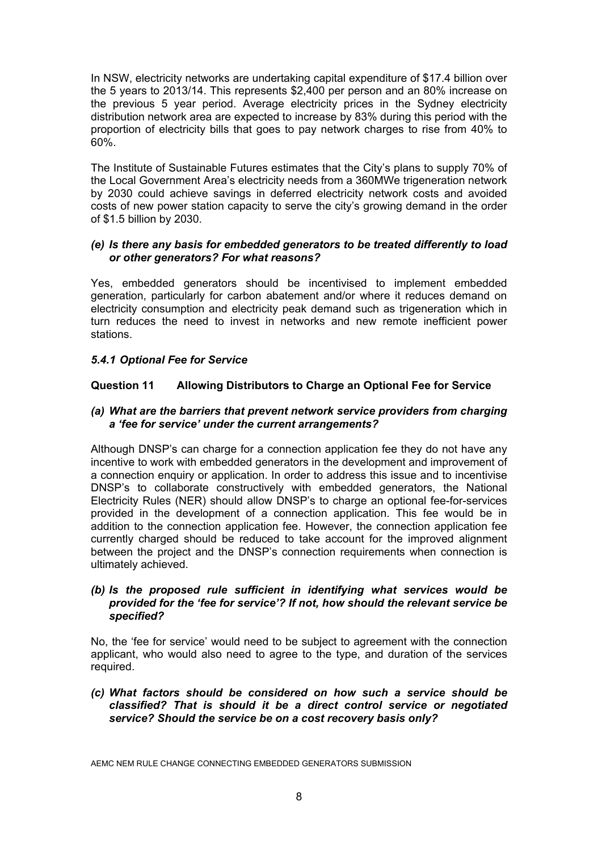In NSW, electricity networks are undertaking capital expenditure of \$17.4 billion over the 5 years to 2013/14. This represents \$2,400 per person and an 80% increase on the previous 5 year period. Average electricity prices in the Sydney electricity distribution network area are expected to increase by 83% during this period with the proportion of electricity bills that goes to pay network charges to rise from 40% to 60%.

The Institute of Sustainable Futures estimates that the City's plans to supply 70% of the Local Government Area's electricity needs from a 360MWe trigeneration network by 2030 could achieve savings in deferred electricity network costs and avoided costs of new power station capacity to serve the city's growing demand in the order of \$1.5 billion by 2030.

#### *(e) Is there any basis for embedded generators to be treated differently to load or other generators? For what reasons?*

Yes, embedded generators should be incentivised to implement embedded generation, particularly for carbon abatement and/or where it reduces demand on electricity consumption and electricity peak demand such as trigeneration which in turn reduces the need to invest in networks and new remote inefficient power stations.

# *5.4.1 Optional Fee for Service*

# **Question 11 Allowing Distributors to Charge an Optional Fee for Service**

## *(a) What are the barriers that prevent network service providers from charging a 'fee for service' under the current arrangements?*

Although DNSP's can charge for a connection application fee they do not have any incentive to work with embedded generators in the development and improvement of a connection enquiry or application. In order to address this issue and to incentivise DNSP's to collaborate constructively with embedded generators, the National Electricity Rules (NER) should allow DNSP's to charge an optional fee-for-services provided in the development of a connection application. This fee would be in addition to the connection application fee. However, the connection application fee currently charged should be reduced to take account for the improved alignment between the project and the DNSP's connection requirements when connection is ultimately achieved.

## *(b) Is the proposed rule sufficient in identifying what services would be provided for the 'fee for service'? If not, how should the relevant service be specified?*

No, the 'fee for service' would need to be subject to agreement with the connection applicant, who would also need to agree to the type, and duration of the services required.

## *(c) What factors should be considered on how such a service should be classified? That is should it be a direct control service or negotiated service? Should the service be on a cost recovery basis only?*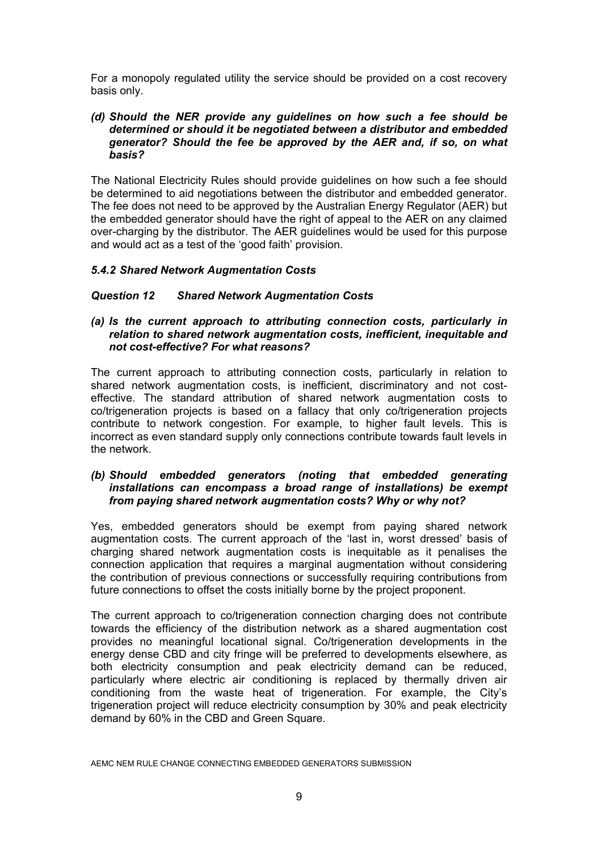For a monopoly regulated utility the service should be provided on a cost recovery basis only.

## *(d) Should the NER provide any guidelines on how such a fee should be determined or should it be negotiated between a distributor and embedded generator? Should the fee be approved by the AER and, if so, on what basis?*

The National Electricity Rules should provide guidelines on how such a fee should be determined to aid negotiations between the distributor and embedded generator. The fee does not need to be approved by the Australian Energy Regulator (AER) but the embedded generator should have the right of appeal to the AER on any claimed over-charging by the distributor. The AER guidelines would be used for this purpose and would act as a test of the 'good faith' provision.

## *5.4.2 Shared Network Augmentation Costs*

## *Question 12 Shared Network Augmentation Costs*

## *(a) Is the current approach to attributing connection costs, particularly in relation to shared network augmentation costs, inefficient, inequitable and not cost-effective? For what reasons?*

The current approach to attributing connection costs, particularly in relation to shared network augmentation costs, is inefficient, discriminatory and not costeffective. The standard attribution of shared network augmentation costs to co/trigeneration projects is based on a fallacy that only co/trigeneration projects contribute to network congestion. For example, to higher fault levels. This is incorrect as even standard supply only connections contribute towards fault levels in the network.

## *(b) Should embedded generators (noting that embedded generating installations can encompass a broad range of installations) be exempt from paying shared network augmentation costs? Why or why not?*

Yes, embedded generators should be exempt from paying shared network augmentation costs. The current approach of the 'last in, worst dressed' basis of charging shared network augmentation costs is inequitable as it penalises the connection application that requires a marginal augmentation without considering the contribution of previous connections or successfully requiring contributions from future connections to offset the costs initially borne by the project proponent.

The current approach to co/trigeneration connection charging does not contribute towards the efficiency of the distribution network as a shared augmentation cost provides no meaningful locational signal. Co/trigeneration developments in the energy dense CBD and city fringe will be preferred to developments elsewhere, as both electricity consumption and peak electricity demand can be reduced, particularly where electric air conditioning is replaced by thermally driven air conditioning from the waste heat of trigeneration. For example, the City's trigeneration project will reduce electricity consumption by 30% and peak electricity demand by 60% in the CBD and Green Square.